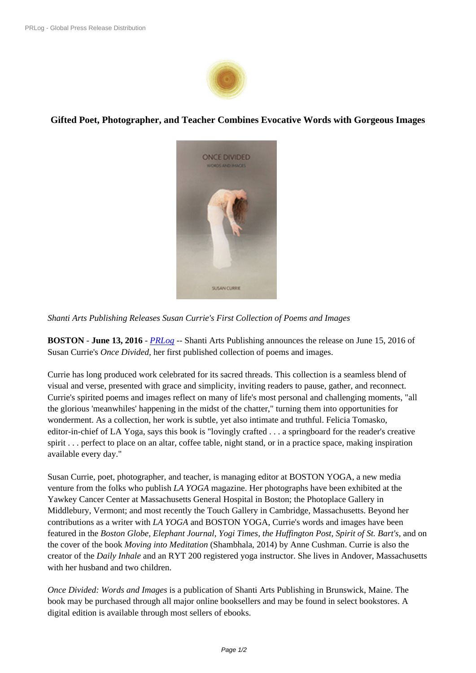

**Gifted Poet, Photographer, and Teac[her Combin](https://biz.prlog.org/shantiartsllc/)es Evocative Words with Gorgeous Images**



*Shanti Arts Publishing Releases Sus[an Currie's First Collection o](https://www.prlog.org/12565065-once-divided-susan-currie.jpg)f Poems and Images*

**BOSTON** - **June 13, 2016** - *PRLog* -- Shanti Arts Publishing announces the release on June 15, 2016 of Susan Currie's *Once Divided,* her first published collection of poems and images.

Currie has long produced wo[rk celeb](https://www.prlog.org)rated for its sacred threads. This collection is a seamless blend of visual and verse, presented with grace and simplicity, inviting readers to pause, gather, and reconnect. Currie's spirited poems and images reflect on many of life's most personal and challenging moments, "all the glorious 'meanwhiles' happening in the midst of the chatter," turning them into opportunities for wonderment. As a collection, her work is subtle, yet also intimate and truthful. Felicia Tomasko, editor-in-chief of LA Yoga, says this book is "lovingly crafted . . . a springboard for the reader's creative spirit . . . perfect to place on an altar, coffee table, night stand, or in a practice space, making inspiration available every day."

Susan Currie, poet, photographer, and teacher, is managing editor at BOSTON YOGA, a new media venture from the folks who publish *LA YOGA* magazine. Her photographs have been exhibited at the Yawkey Cancer Center at Massachusetts General Hospital in Boston; the Photoplace Gallery in Middlebury, Vermont; and most recently the Touch Gallery in Cambridge, Massachusetts. Beyond her contributions as a writer with *LA YOGA* and BOSTON YOGA, Currie's words and images have been featured in the *Boston Globe, Elephant Journal, Yogi Times, the Huffington Post, Spirit of St. Bart's*, and on the cover of the book *Moving into Meditation* (Shambhala, 2014) by Anne Cushman. Currie is also the creator of the *Daily Inhale* and an RYT 200 registered yoga instructor. She lives in Andover, Massachusetts with her husband and two children.

*Once Divided: Words and Images* is a publication of Shanti Arts Publishing in Brunswick, Maine. The book may be purchased through all major online booksellers and may be found in select bookstores. A digital edition is available through most sellers of ebooks.